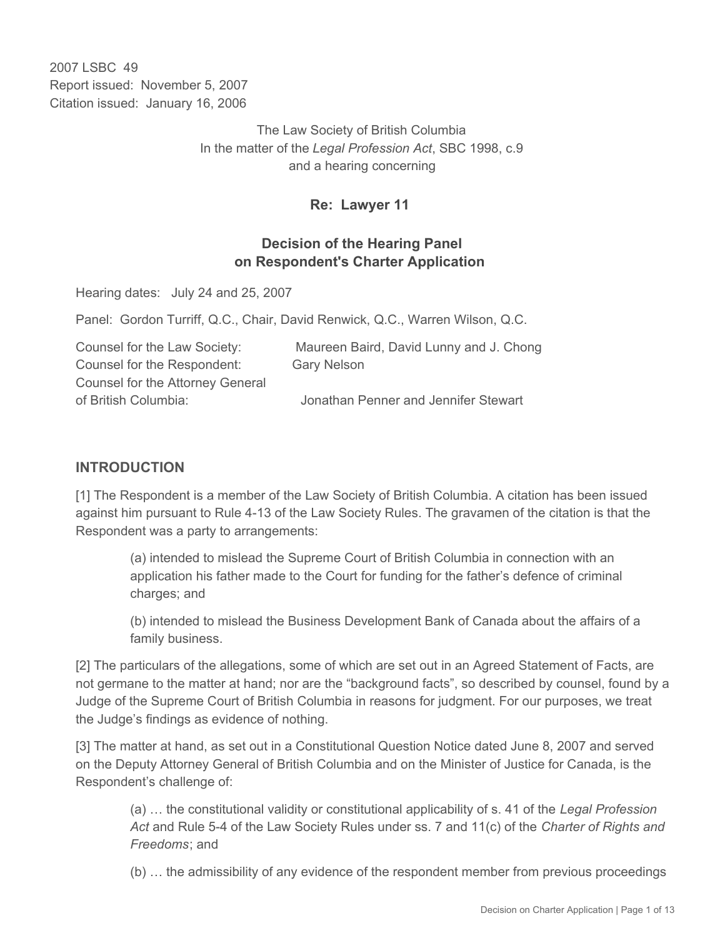2007 LSBC 49 Report issued: November 5, 2007 Citation issued: January 16, 2006

> The Law Society of British Columbia In the matter of the *Legal Profession Act*, SBC 1998, c.9 and a hearing concerning

### **Re: Lawyer 11**

### **Decision of the Hearing Panel on Respondent's Charter Application**

Hearing dates: July 24 and 25, 2007

Panel: Gordon Turriff, Q.C., Chair, David Renwick, Q.C., Warren Wilson, Q.C.

| Maureen Baird, David Lunny and J. Chong |
|-----------------------------------------|
| <b>Gary Nelson</b>                      |
|                                         |
| Jonathan Penner and Jennifer Stewart    |
|                                         |

## **INTRODUCTION**

[1] The Respondent is a member of the Law Society of British Columbia. A citation has been issued against him pursuant to Rule 4-13 of the Law Society Rules. The gravamen of the citation is that the Respondent was a party to arrangements:

(a) intended to mislead the Supreme Court of British Columbia in connection with an application his father made to the Court for funding for the father's defence of criminal charges; and

(b) intended to mislead the Business Development Bank of Canada about the affairs of a family business.

[2] The particulars of the allegations, some of which are set out in an Agreed Statement of Facts, are not germane to the matter at hand; nor are the "background facts", so described by counsel, found by a Judge of the Supreme Court of British Columbia in reasons for judgment. For our purposes, we treat the Judge's findings as evidence of nothing.

[3] The matter at hand, as set out in a Constitutional Question Notice dated June 8, 2007 and served on the Deputy Attorney General of British Columbia and on the Minister of Justice for Canada, is the Respondent's challenge of:

(a) … the constitutional validity or constitutional applicability of s. 41 of the *Legal Profession Act* and Rule 5-4 of the Law Society Rules under ss. 7 and 11(c) of the *Charter of Rights and Freedoms*; and

(b) … the admissibility of any evidence of the respondent member from previous proceedings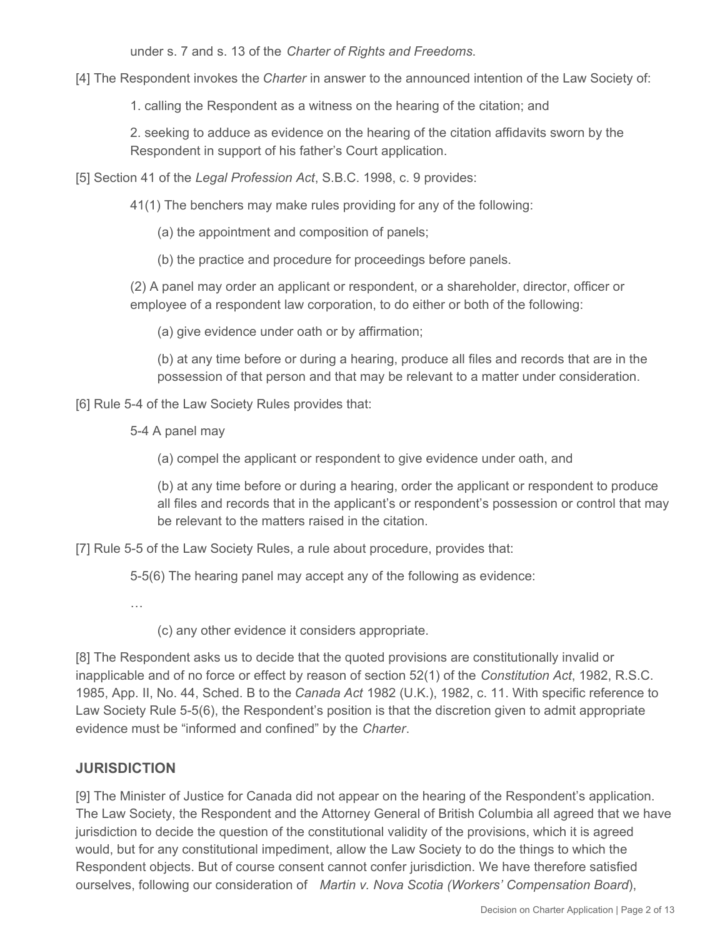under s. 7 and s. 13 of the *Charter of Rights and Freedoms*.

[4] The Respondent invokes the *Charter* in answer to the announced intention of the Law Society of:

1. calling the Respondent as a witness on the hearing of the citation; and

2. seeking to adduce as evidence on the hearing of the citation affidavits sworn by the Respondent in support of his father's Court application.

[5] Section 41 of the *Legal Profession Act*, S.B.C. 1998, c. 9 provides:

41(1) The benchers may make rules providing for any of the following:

(a) the appointment and composition of panels;

(b) the practice and procedure for proceedings before panels.

(2) A panel may order an applicant or respondent, or a shareholder, director, officer or employee of a respondent law corporation, to do either or both of the following:

(a) give evidence under oath or by affirmation;

(b) at any time before or during a hearing, produce all files and records that are in the possession of that person and that may be relevant to a matter under consideration.

[6] Rule 5-4 of the Law Society Rules provides that:

5-4 A panel may

(a) compel the applicant or respondent to give evidence under oath, and

(b) at any time before or during a hearing, order the applicant or respondent to produce all files and records that in the applicant's or respondent's possession or control that may be relevant to the matters raised in the citation.

[7] Rule 5-5 of the Law Society Rules, a rule about procedure, provides that:

5-5(6) The hearing panel may accept any of the following as evidence:

…

(c) any other evidence it considers appropriate.

[8] The Respondent asks us to decide that the quoted provisions are constitutionally invalid or inapplicable and of no force or effect by reason of section 52(1) of the *Constitution Act*, 1982, R.S.C. 1985, App. II, No. 44, Sched. B to the *Canada Act* 1982 (U.K.), 1982, c. 11. With specific reference to Law Society Rule 5-5(6), the Respondent's position is that the discretion given to admit appropriate evidence must be "informed and confined" by the *Charter*.

# **JURISDICTION**

[9] The Minister of Justice for Canada did not appear on the hearing of the Respondent's application. The Law Society, the Respondent and the Attorney General of British Columbia all agreed that we have jurisdiction to decide the question of the constitutional validity of the provisions, which it is agreed would, but for any constitutional impediment, allow the Law Society to do the things to which the Respondent objects. But of course consent cannot confer jurisdiction. We have therefore satisfied ourselves, following our consideration of *Martin v. Nova Scotia (Workers' Compensation Board*),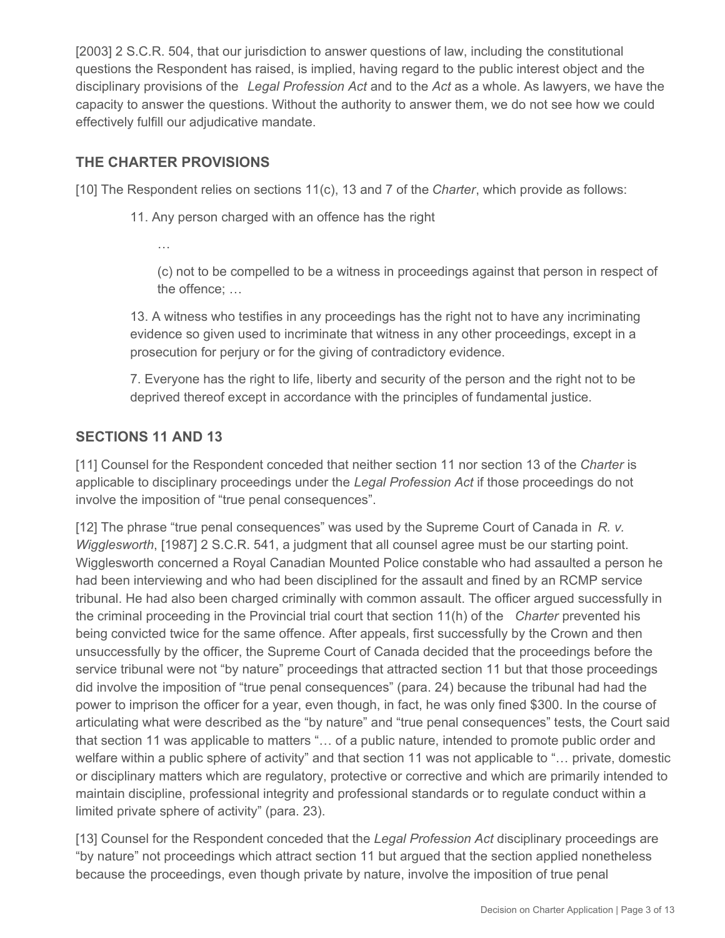[2003] 2 S.C.R. 504, that our jurisdiction to answer questions of law, including the constitutional questions the Respondent has raised, is implied, having regard to the public interest object and the disciplinary provisions of the *Legal Profession Act* and to the *Act* as a whole. As lawyers, we have the capacity to answer the questions. Without the authority to answer them, we do not see how we could effectively fulfill our adjudicative mandate.

## **THE CHARTER PROVISIONS**

[10] The Respondent relies on sections 11(c), 13 and 7 of the *Charter*, which provide as follows:

- 11. Any person charged with an offence has the right
	- …

(c) not to be compelled to be a witness in proceedings against that person in respect of the offence; …

13. A witness who testifies in any proceedings has the right not to have any incriminating evidence so given used to incriminate that witness in any other proceedings, except in a prosecution for perjury or for the giving of contradictory evidence.

7. Everyone has the right to life, liberty and security of the person and the right not to be deprived thereof except in accordance with the principles of fundamental justice.

### **SECTIONS 11 AND 13**

[11] Counsel for the Respondent conceded that neither section 11 nor section 13 of the *Charter* is applicable to disciplinary proceedings under the *Legal Profession Act* if those proceedings do not involve the imposition of "true penal consequences".

[12] The phrase "true penal consequences" was used by the Supreme Court of Canada in *R. v. Wigglesworth*, [1987] 2 S.C.R. 541, a judgment that all counsel agree must be our starting point. Wigglesworth concerned a Royal Canadian Mounted Police constable who had assaulted a person he had been interviewing and who had been disciplined for the assault and fined by an RCMP service tribunal. He had also been charged criminally with common assault. The officer argued successfully in the criminal proceeding in the Provincial trial court that section 11(h) of the *Charter* prevented his being convicted twice for the same offence. After appeals, first successfully by the Crown and then unsuccessfully by the officer, the Supreme Court of Canada decided that the proceedings before the service tribunal were not "by nature" proceedings that attracted section 11 but that those proceedings did involve the imposition of "true penal consequences" (para. 24) because the tribunal had had the power to imprison the officer for a year, even though, in fact, he was only fined \$300. In the course of articulating what were described as the "by nature" and "true penal consequences" tests, the Court said that section 11 was applicable to matters "… of a public nature, intended to promote public order and welfare within a public sphere of activity" and that section 11 was not applicable to "… private, domestic or disciplinary matters which are regulatory, protective or corrective and which are primarily intended to maintain discipline, professional integrity and professional standards or to regulate conduct within a limited private sphere of activity" (para. 23).

[13] Counsel for the Respondent conceded that the *Legal Profession Act* disciplinary proceedings are "by nature" not proceedings which attract section 11 but argued that the section applied nonetheless because the proceedings, even though private by nature, involve the imposition of true penal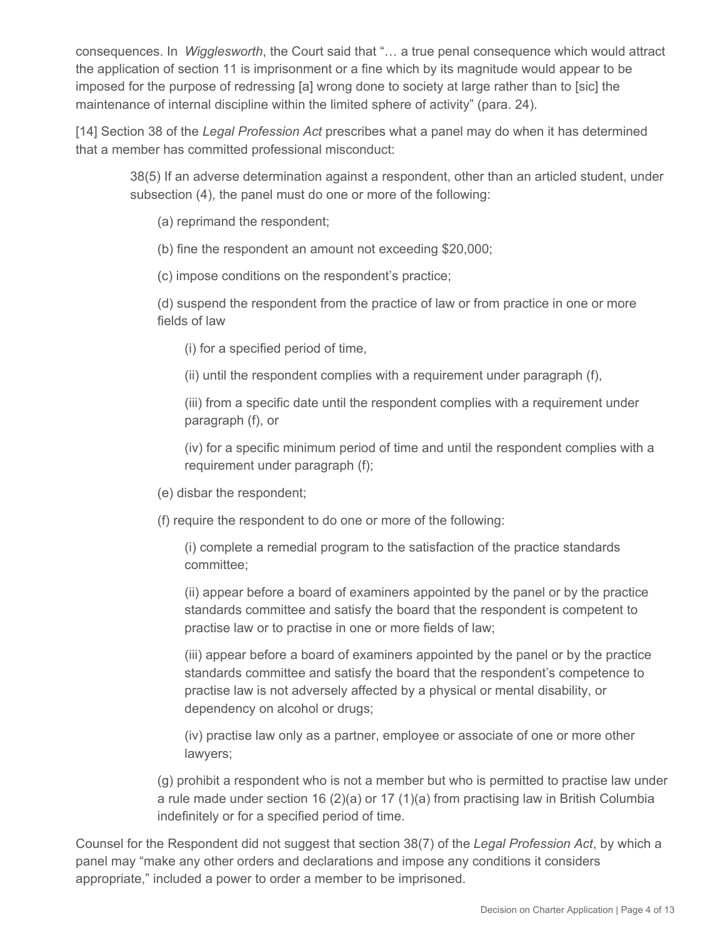consequences. In *Wigglesworth*, the Court said that "… a true penal consequence which would attract the application of section 11 is imprisonment or a fine which by its magnitude would appear to be imposed for the purpose of redressing [a] wrong done to society at large rather than to [sic] the maintenance of internal discipline within the limited sphere of activity" (para. 24).

[14] Section 38 of the *Legal Profession Act* prescribes what a panel may do when it has determined that a member has committed professional misconduct:

38(5) If an adverse determination against a respondent, other than an articled student, under subsection (4), the panel must do one or more of the following:

(a) reprimand the respondent;

(b) fine the respondent an amount not exceeding \$20,000;

(c) impose conditions on the respondent's practice;

(d) suspend the respondent from the practice of law or from practice in one or more fields of law

(i) for a specified period of time,

(ii) until the respondent complies with a requirement under paragraph (f),

(iii) from a specific date until the respondent complies with a requirement under paragraph (f), or

(iv) for a specific minimum period of time and until the respondent complies with a requirement under paragraph (f);

- (e) disbar the respondent;
- (f) require the respondent to do one or more of the following:

(i) complete a remedial program to the satisfaction of the practice standards committee;

(ii) appear before a board of examiners appointed by the panel or by the practice standards committee and satisfy the board that the respondent is competent to practise law or to practise in one or more fields of law;

(iii) appear before a board of examiners appointed by the panel or by the practice standards committee and satisfy the board that the respondent's competence to practise law is not adversely affected by a physical or mental disability, or dependency on alcohol or drugs;

(iv) practise law only as a partner, employee or associate of one or more other lawyers;

(g) prohibit a respondent who is not a member but who is permitted to practise law under a rule made under section 16 (2)(a) or 17 (1)(a) from practising law in British Columbia indefinitely or for a specified period of time.

Counsel for the Respondent did not suggest that section 38(7) of the *Legal Profession Act*, by which a panel may "make any other orders and declarations and impose any conditions it considers appropriate," included a power to order a member to be imprisoned.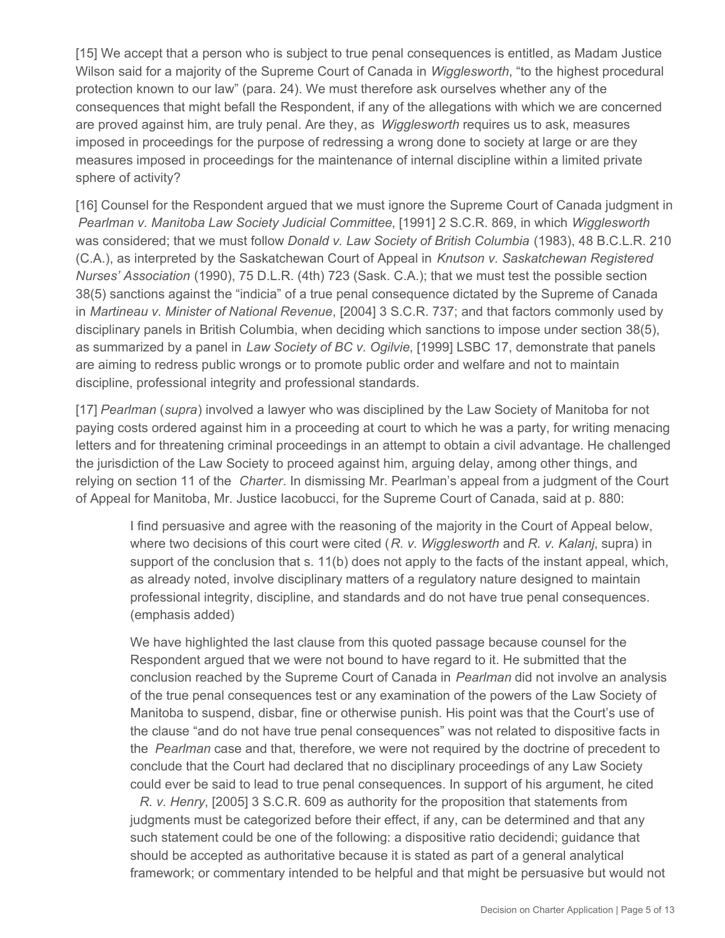[15] We accept that a person who is subject to true penal consequences is entitled, as Madam Justice Wilson said for a majority of the Supreme Court of Canada in *Wigglesworth*, "to the highest procedural protection known to our law" (para. 24). We must therefore ask ourselves whether any of the consequences that might befall the Respondent, if any of the allegations with which we are concerned are proved against him, are truly penal. Are they, as *Wigglesworth* requires us to ask, measures imposed in proceedings for the purpose of redressing a wrong done to society at large or are they measures imposed in proceedings for the maintenance of internal discipline within a limited private sphere of activity?

[16] Counsel for the Respondent argued that we must ignore the Supreme Court of Canada judgment in *Pearlman v. Manitoba Law Society Judicial Committee*, [1991] 2 S.C.R. 869, in which *Wigglesworth*  was considered; that we must follow *Donald v. Law Society of British Columbia* (1983), 48 B.C.L.R. 210 (C.A.), as interpreted by the Saskatchewan Court of Appeal in *Knutson v. Saskatchewan Registered Nurses' Association* (1990), 75 D.L.R. (4th) 723 (Sask. C.A.); that we must test the possible section 38(5) sanctions against the "indicia" of a true penal consequence dictated by the Supreme of Canada in *Martineau v. Minister of National Revenue*, [2004] 3 S.C.R. 737; and that factors commonly used by disciplinary panels in British Columbia, when deciding which sanctions to impose under section 38(5), as summarized by a panel in *Law Society of BC v. Ogilvie*, [1999] LSBC 17, demonstrate that panels are aiming to redress public wrongs or to promote public order and welfare and not to maintain discipline, professional integrity and professional standards.

[17] *Pearlman* (*supra*) involved a lawyer who was disciplined by the Law Society of Manitoba for not paying costs ordered against him in a proceeding at court to which he was a party, for writing menacing letters and for threatening criminal proceedings in an attempt to obtain a civil advantage. He challenged the jurisdiction of the Law Society to proceed against him, arguing delay, among other things, and relying on section 11 of the *Charter*. In dismissing Mr. Pearlman's appeal from a judgment of the Court of Appeal for Manitoba, Mr. Justice Iacobucci, for the Supreme Court of Canada, said at p. 880:

I find persuasive and agree with the reasoning of the majority in the Court of Appeal below, where two decisions of this court were cited (*R. v. Wigglesworth* and *R. v. Kalanj*, supra) in support of the conclusion that s. 11(b) does not apply to the facts of the instant appeal, which, as already noted, involve disciplinary matters of a regulatory nature designed to maintain professional integrity, discipline, and standards and do not have true penal consequences. (emphasis added)

We have highlighted the last clause from this quoted passage because counsel for the Respondent argued that we were not bound to have regard to it. He submitted that the conclusion reached by the Supreme Court of Canada in *Pearlman* did not involve an analysis of the true penal consequences test or any examination of the powers of the Law Society of Manitoba to suspend, disbar, fine or otherwise punish. His point was that the Court's use of the clause "and do not have true penal consequences" was not related to dispositive facts in the *Pearlman* case and that, therefore, we were not required by the doctrine of precedent to conclude that the Court had declared that no disciplinary proceedings of any Law Society could ever be said to lead to true penal consequences. In support of his argument, he cited

*R. v. Henry*, [2005] 3 S.C.R. 609 as authority for the proposition that statements from judgments must be categorized before their effect, if any, can be determined and that any such statement could be one of the following: a dispositive ratio decidendi; guidance that should be accepted as authoritative because it is stated as part of a general analytical framework; or commentary intended to be helpful and that might be persuasive but would not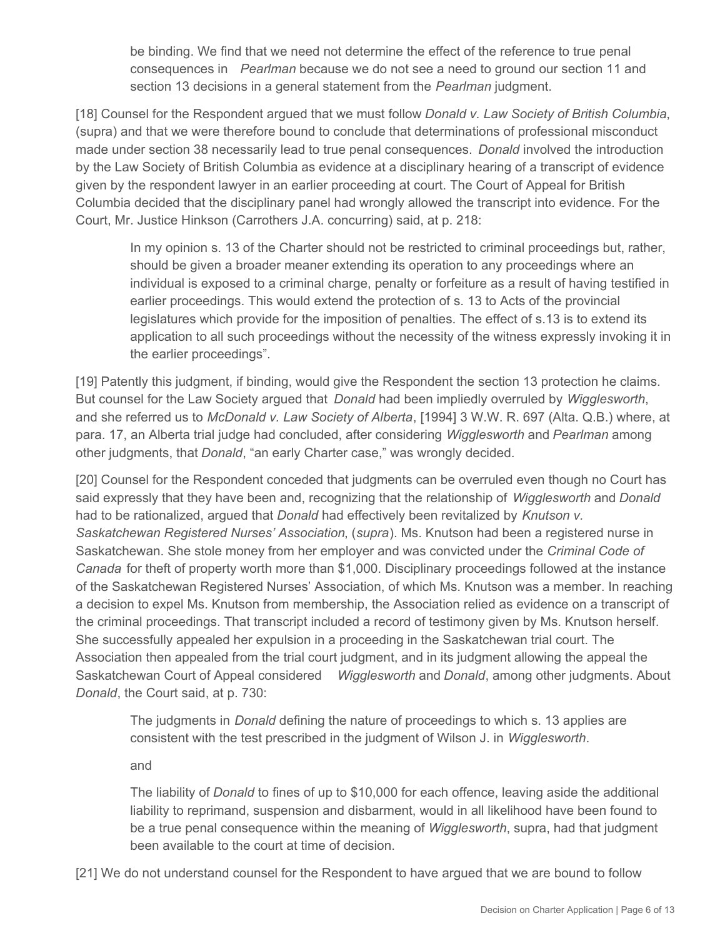be binding. We find that we need not determine the effect of the reference to true penal consequences in *Pearlman* because we do not see a need to ground our section 11 and section 13 decisions in a general statement from the *Pearlman* judgment.

[18] Counsel for the Respondent argued that we must follow *Donald v. Law Society of British Columbia*, (supra) and that we were therefore bound to conclude that determinations of professional misconduct made under section 38 necessarily lead to true penal consequences. *Donald* involved the introduction by the Law Society of British Columbia as evidence at a disciplinary hearing of a transcript of evidence given by the respondent lawyer in an earlier proceeding at court. The Court of Appeal for British Columbia decided that the disciplinary panel had wrongly allowed the transcript into evidence. For the Court, Mr. Justice Hinkson (Carrothers J.A. concurring) said, at p. 218:

In my opinion s. 13 of the Charter should not be restricted to criminal proceedings but, rather, should be given a broader meaner extending its operation to any proceedings where an individual is exposed to a criminal charge, penalty or forfeiture as a result of having testified in earlier proceedings. This would extend the protection of s. 13 to Acts of the provincial legislatures which provide for the imposition of penalties. The effect of s.13 is to extend its application to all such proceedings without the necessity of the witness expressly invoking it in the earlier proceedings".

[19] Patently this judgment, if binding, would give the Respondent the section 13 protection he claims. But counsel for the Law Society argued that *Donald* had been impliedly overruled by *Wigglesworth*, and she referred us to *McDonald v. Law Society of Alberta*, [1994] 3 W.W. R. 697 (Alta. Q.B.) where, at para. 17, an Alberta trial judge had concluded, after considering *Wigglesworth* and *Pearlman* among other judgments, that *Donald*, "an early Charter case," was wrongly decided.

[20] Counsel for the Respondent conceded that judgments can be overruled even though no Court has said expressly that they have been and, recognizing that the relationship of *Wigglesworth* and *Donald*  had to be rationalized, argued that *Donald* had effectively been revitalized by *Knutson v. Saskatchewan Registered Nurses' Association*, (*supra*). Ms. Knutson had been a registered nurse in Saskatchewan. She stole money from her employer and was convicted under the *Criminal Code of Canada* for theft of property worth more than \$1,000. Disciplinary proceedings followed at the instance of the Saskatchewan Registered Nurses' Association, of which Ms. Knutson was a member. In reaching a decision to expel Ms. Knutson from membership, the Association relied as evidence on a transcript of the criminal proceedings. That transcript included a record of testimony given by Ms. Knutson herself. She successfully appealed her expulsion in a proceeding in the Saskatchewan trial court. The Association then appealed from the trial court judgment, and in its judgment allowing the appeal the Saskatchewan Court of Appeal considered *Wigglesworth* and *Donald*, among other judgments. About *Donald*, the Court said, at p. 730:

The judgments in *Donald* defining the nature of proceedings to which s. 13 applies are consistent with the test prescribed in the judgment of Wilson J. in *Wigglesworth*.

and

The liability of *Donald* to fines of up to \$10,000 for each offence, leaving aside the additional liability to reprimand, suspension and disbarment, would in all likelihood have been found to be a true penal consequence within the meaning of *Wigglesworth*, supra, had that judgment been available to the court at time of decision.

[21] We do not understand counsel for the Respondent to have argued that we are bound to follow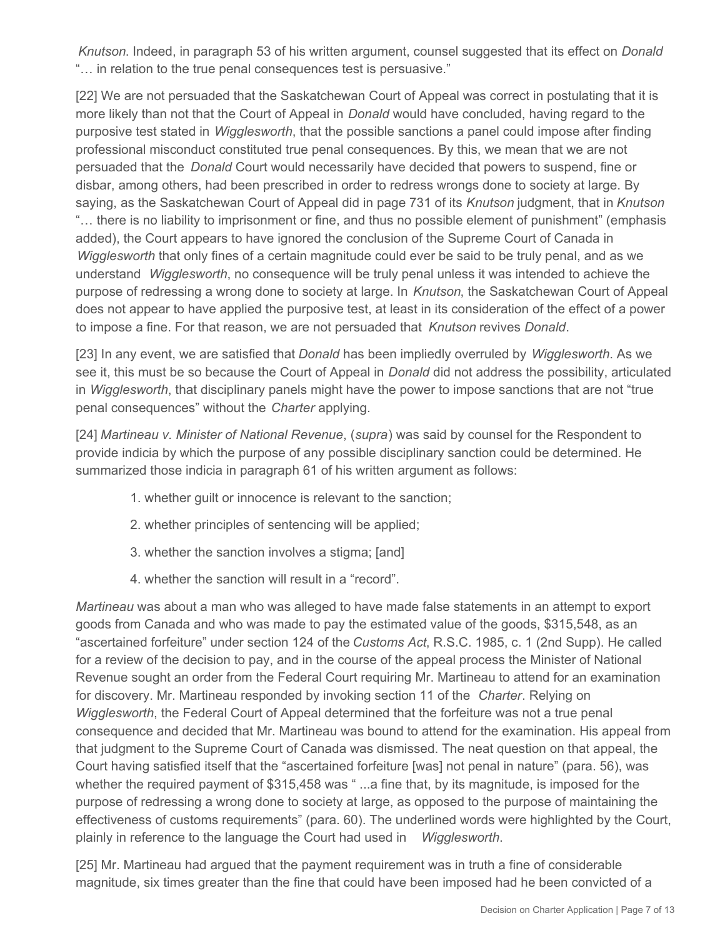*Knutson*. Indeed, in paragraph 53 of his written argument, counsel suggested that its effect on *Donald*  "… in relation to the true penal consequences test is persuasive."

[22] We are not persuaded that the Saskatchewan Court of Appeal was correct in postulating that it is more likely than not that the Court of Appeal in *Donald* would have concluded, having regard to the purposive test stated in *Wigglesworth*, that the possible sanctions a panel could impose after finding professional misconduct constituted true penal consequences. By this, we mean that we are not persuaded that the *Donald* Court would necessarily have decided that powers to suspend, fine or disbar, among others, had been prescribed in order to redress wrongs done to society at large. By saying, as the Saskatchewan Court of Appeal did in page 731 of its *Knutson* judgment, that in *Knutson*  "… there is no liability to imprisonment or fine, and thus no possible element of punishment" (emphasis added), the Court appears to have ignored the conclusion of the Supreme Court of Canada in *Wigglesworth* that only fines of a certain magnitude could ever be said to be truly penal, and as we understand *Wigglesworth*, no consequence will be truly penal unless it was intended to achieve the purpose of redressing a wrong done to society at large. In *Knutson*, the Saskatchewan Court of Appeal does not appear to have applied the purposive test, at least in its consideration of the effect of a power to impose a fine. For that reason, we are not persuaded that *Knutson* revives *Donald*.

[23] In any event, we are satisfied that *Donald* has been impliedly overruled by *Wigglesworth*. As we see it, this must be so because the Court of Appeal in *Donald* did not address the possibility, articulated in *Wigglesworth*, that disciplinary panels might have the power to impose sanctions that are not "true penal consequences" without the *Charter* applying.

[24] *Martineau v. Minister of National Revenue*, (*supra*) was said by counsel for the Respondent to provide indicia by which the purpose of any possible disciplinary sanction could be determined. He summarized those indicia in paragraph 61 of his written argument as follows:

- 1. whether guilt or innocence is relevant to the sanction;
- 2. whether principles of sentencing will be applied;
- 3. whether the sanction involves a stigma; [and]
- 4. whether the sanction will result in a "record".

*Martineau* was about a man who was alleged to have made false statements in an attempt to export goods from Canada and who was made to pay the estimated value of the goods, \$315,548, as an "ascertained forfeiture" under section 124 of the *Customs Act*, R.S.C. 1985, c. 1 (2nd Supp). He called for a review of the decision to pay, and in the course of the appeal process the Minister of National Revenue sought an order from the Federal Court requiring Mr. Martineau to attend for an examination for discovery. Mr. Martineau responded by invoking section 11 of the *Charter*. Relying on *Wigglesworth*, the Federal Court of Appeal determined that the forfeiture was not a true penal consequence and decided that Mr. Martineau was bound to attend for the examination. His appeal from that judgment to the Supreme Court of Canada was dismissed. The neat question on that appeal, the Court having satisfied itself that the "ascertained forfeiture [was] not penal in nature" (para. 56), was whether the required payment of \$315,458 was "...a fine that, by its magnitude, is imposed for the purpose of redressing a wrong done to society at large, as opposed to the purpose of maintaining the effectiveness of customs requirements" (para. 60). The underlined words were highlighted by the Court, plainly in reference to the language the Court had used in *Wigglesworth*.

[25] Mr. Martineau had argued that the payment requirement was in truth a fine of considerable magnitude, six times greater than the fine that could have been imposed had he been convicted of a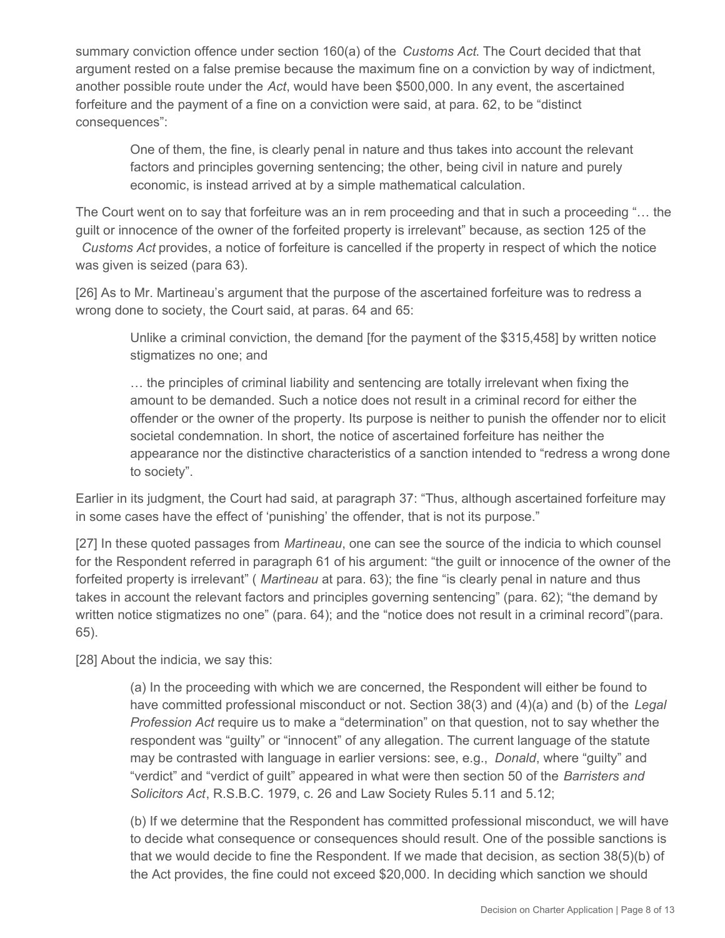summary conviction offence under section 160(a) of the *Customs Act*. The Court decided that that argument rested on a false premise because the maximum fine on a conviction by way of indictment, another possible route under the *Act*, would have been \$500,000. In any event, the ascertained forfeiture and the payment of a fine on a conviction were said, at para. 62, to be "distinct consequences":

One of them, the fine, is clearly penal in nature and thus takes into account the relevant factors and principles governing sentencing; the other, being civil in nature and purely economic, is instead arrived at by a simple mathematical calculation.

The Court went on to say that forfeiture was an in rem proceeding and that in such a proceeding "… the guilt or innocence of the owner of the forfeited property is irrelevant" because, as section 125 of the *Customs Act* provides, a notice of forfeiture is cancelled if the property in respect of which the notice was given is seized (para 63).

[26] As to Mr. Martineau's argument that the purpose of the ascertained forfeiture was to redress a wrong done to society, the Court said, at paras. 64 and 65:

Unlike a criminal conviction, the demand [for the payment of the \$315,458] by written notice stigmatizes no one; and

… the principles of criminal liability and sentencing are totally irrelevant when fixing the amount to be demanded. Such a notice does not result in a criminal record for either the offender or the owner of the property. Its purpose is neither to punish the offender nor to elicit societal condemnation. In short, the notice of ascertained forfeiture has neither the appearance nor the distinctive characteristics of a sanction intended to "redress a wrong done to society".

Earlier in its judgment, the Court had said, at paragraph 37: "Thus, although ascertained forfeiture may in some cases have the effect of 'punishing' the offender, that is not its purpose."

[27] In these quoted passages from *Martineau*, one can see the source of the indicia to which counsel for the Respondent referred in paragraph 61 of his argument: "the guilt or innocence of the owner of the forfeited property is irrelevant" ( *Martineau* at para. 63); the fine "is clearly penal in nature and thus takes in account the relevant factors and principles governing sentencing" (para. 62); "the demand by written notice stigmatizes no one" (para. 64); and the "notice does not result in a criminal record"(para. 65).

[28] About the indicia, we say this:

(a) In the proceeding with which we are concerned, the Respondent will either be found to have committed professional misconduct or not. Section 38(3) and (4)(a) and (b) of the *Legal Profession Act* require us to make a "determination" on that question, not to say whether the respondent was "guilty" or "innocent" of any allegation. The current language of the statute may be contrasted with language in earlier versions: see, e.g., *Donald*, where "guilty" and "verdict" and "verdict of guilt" appeared in what were then section 50 of the *Barristers and Solicitors Act*, R.S.B.C. 1979, c. 26 and Law Society Rules 5.11 and 5.12;

(b) If we determine that the Respondent has committed professional misconduct, we will have to decide what consequence or consequences should result. One of the possible sanctions is that we would decide to fine the Respondent. If we made that decision, as section 38(5)(b) of the Act provides, the fine could not exceed \$20,000. In deciding which sanction we should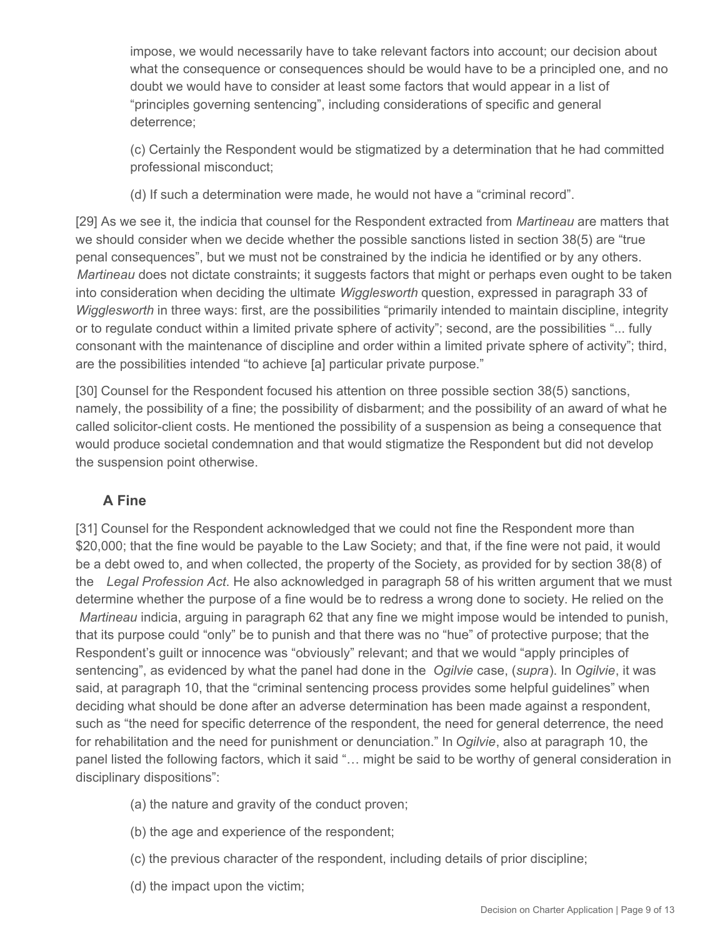impose, we would necessarily have to take relevant factors into account; our decision about what the consequence or consequences should be would have to be a principled one, and no doubt we would have to consider at least some factors that would appear in a list of "principles governing sentencing", including considerations of specific and general deterrence;

(c) Certainly the Respondent would be stigmatized by a determination that he had committed professional misconduct;

(d) If such a determination were made, he would not have a "criminal record".

[29] As we see it, the indicia that counsel for the Respondent extracted from *Martineau* are matters that we should consider when we decide whether the possible sanctions listed in section 38(5) are "true penal consequences", but we must not be constrained by the indicia he identified or by any others. *Martineau* does not dictate constraints; it suggests factors that might or perhaps even ought to be taken into consideration when deciding the ultimate *Wigglesworth* question, expressed in paragraph 33 of *Wigglesworth* in three ways: first, are the possibilities "primarily intended to maintain discipline, integrity or to regulate conduct within a limited private sphere of activity"; second, are the possibilities "... fully consonant with the maintenance of discipline and order within a limited private sphere of activity"; third, are the possibilities intended "to achieve [a] particular private purpose."

[30] Counsel for the Respondent focused his attention on three possible section 38(5) sanctions, namely, the possibility of a fine; the possibility of disbarment; and the possibility of an award of what he called solicitor-client costs. He mentioned the possibility of a suspension as being a consequence that would produce societal condemnation and that would stigmatize the Respondent but did not develop the suspension point otherwise.

# **A Fine**

[31] Counsel for the Respondent acknowledged that we could not fine the Respondent more than \$20,000; that the fine would be payable to the Law Society; and that, if the fine were not paid, it would be a debt owed to, and when collected, the property of the Society, as provided for by section 38(8) of the *Legal Profession Act*. He also acknowledged in paragraph 58 of his written argument that we must determine whether the purpose of a fine would be to redress a wrong done to society. He relied on the *Martineau* indicia, arguing in paragraph 62 that any fine we might impose would be intended to punish, that its purpose could "only" be to punish and that there was no "hue" of protective purpose; that the Respondent's guilt or innocence was "obviously" relevant; and that we would "apply principles of sentencing", as evidenced by what the panel had done in the *Ogilvie* case, (*supra*). In *Ogilvie*, it was said, at paragraph 10, that the "criminal sentencing process provides some helpful guidelines" when deciding what should be done after an adverse determination has been made against a respondent, such as "the need for specific deterrence of the respondent, the need for general deterrence, the need for rehabilitation and the need for punishment or denunciation." In *Ogilvie*, also at paragraph 10, the panel listed the following factors, which it said "… might be said to be worthy of general consideration in disciplinary dispositions":

- (a) the nature and gravity of the conduct proven;
- (b) the age and experience of the respondent;
- (c) the previous character of the respondent, including details of prior discipline;
- (d) the impact upon the victim;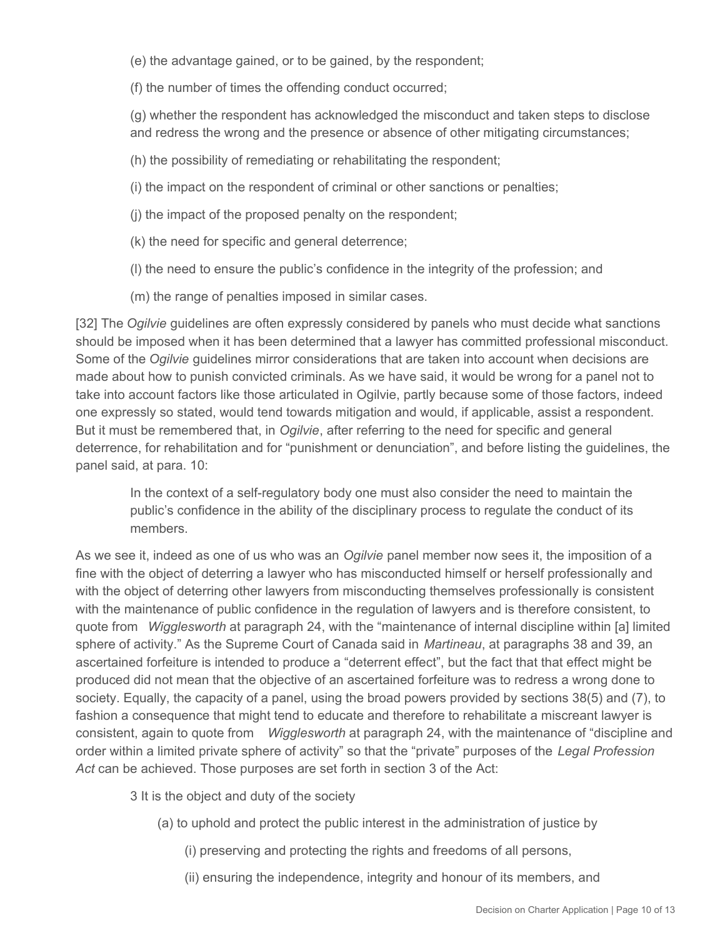(e) the advantage gained, or to be gained, by the respondent;

(f) the number of times the offending conduct occurred;

(g) whether the respondent has acknowledged the misconduct and taken steps to disclose and redress the wrong and the presence or absence of other mitigating circumstances;

(h) the possibility of remediating or rehabilitating the respondent;

(i) the impact on the respondent of criminal or other sanctions or penalties;

(j) the impact of the proposed penalty on the respondent;

(k) the need for specific and general deterrence;

(l) the need to ensure the public's confidence in the integrity of the profession; and

(m) the range of penalties imposed in similar cases.

[32] The *Ogilvie* guidelines are often expressly considered by panels who must decide what sanctions should be imposed when it has been determined that a lawyer has committed professional misconduct. Some of the *Ogilvie* guidelines mirror considerations that are taken into account when decisions are made about how to punish convicted criminals. As we have said, it would be wrong for a panel not to take into account factors like those articulated in Ogilvie, partly because some of those factors, indeed one expressly so stated, would tend towards mitigation and would, if applicable, assist a respondent. But it must be remembered that, in *Ogilvie*, after referring to the need for specific and general deterrence, for rehabilitation and for "punishment or denunciation", and before listing the guidelines, the panel said, at para. 10:

In the context of a self-regulatory body one must also consider the need to maintain the public's confidence in the ability of the disciplinary process to regulate the conduct of its members.

As we see it, indeed as one of us who was an *Ogilvie* panel member now sees it, the imposition of a fine with the object of deterring a lawyer who has misconducted himself or herself professionally and with the object of deterring other lawyers from misconducting themselves professionally is consistent with the maintenance of public confidence in the regulation of lawyers and is therefore consistent, to quote from *Wigglesworth* at paragraph 24, with the "maintenance of internal discipline within [a] limited sphere of activity." As the Supreme Court of Canada said in *Martineau*, at paragraphs 38 and 39, an ascertained forfeiture is intended to produce a "deterrent effect", but the fact that that effect might be produced did not mean that the objective of an ascertained forfeiture was to redress a wrong done to society. Equally, the capacity of a panel, using the broad powers provided by sections 38(5) and (7), to fashion a consequence that might tend to educate and therefore to rehabilitate a miscreant lawyer is consistent, again to quote from *Wigglesworth* at paragraph 24, with the maintenance of "discipline and order within a limited private sphere of activity" so that the "private" purposes of the *Legal Profession Act* can be achieved. Those purposes are set forth in section 3 of the Act:

3 It is the object and duty of the society

(a) to uphold and protect the public interest in the administration of justice by

(i) preserving and protecting the rights and freedoms of all persons,

(ii) ensuring the independence, integrity and honour of its members, and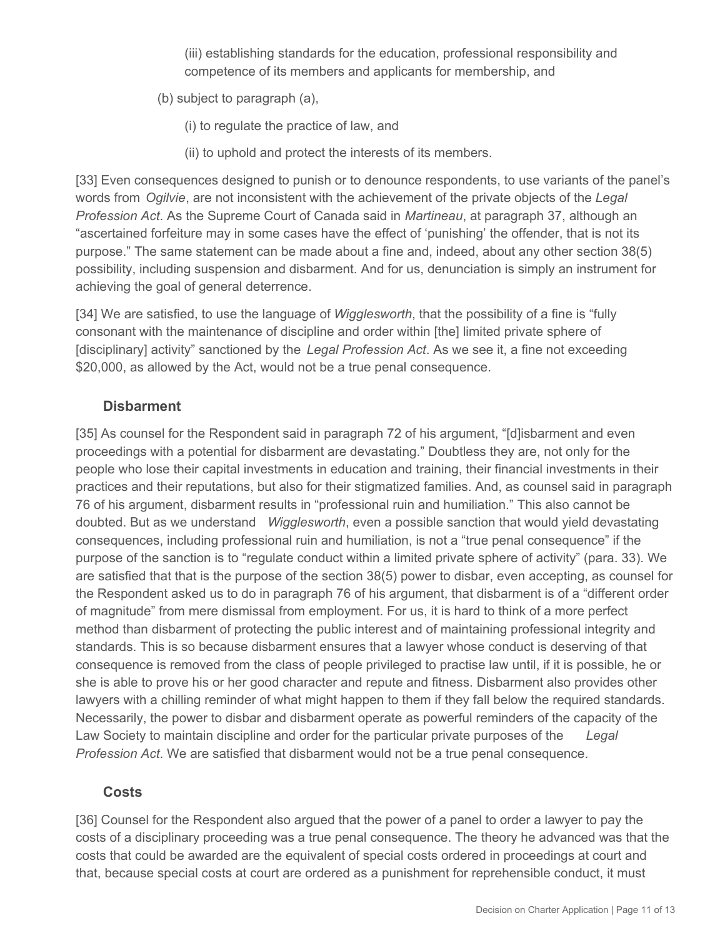(iii) establishing standards for the education, professional responsibility and competence of its members and applicants for membership, and

(b) subject to paragraph (a),

(i) to regulate the practice of law, and

(ii) to uphold and protect the interests of its members.

[33] Even consequences designed to punish or to denounce respondents, to use variants of the panel's words from *Ogilvie*, are not inconsistent with the achievement of the private objects of the *Legal Profession Act*. As the Supreme Court of Canada said in *Martineau*, at paragraph 37, although an "ascertained forfeiture may in some cases have the effect of 'punishing' the offender, that is not its purpose." The same statement can be made about a fine and, indeed, about any other section 38(5) possibility, including suspension and disbarment. And for us, denunciation is simply an instrument for achieving the goal of general deterrence.

[34] We are satisfied, to use the language of *Wigglesworth*, that the possibility of a fine is "fully consonant with the maintenance of discipline and order within [the] limited private sphere of [disciplinary] activity" sanctioned by the *Legal Profession Act*. As we see it, a fine not exceeding \$20,000, as allowed by the Act, would not be a true penal consequence.

### **Disbarment**

[35] As counsel for the Respondent said in paragraph 72 of his argument, "[d]isbarment and even proceedings with a potential for disbarment are devastating." Doubtless they are, not only for the people who lose their capital investments in education and training, their financial investments in their practices and their reputations, but also for their stigmatized families. And, as counsel said in paragraph 76 of his argument, disbarment results in "professional ruin and humiliation." This also cannot be doubted. But as we understand *Wigglesworth*, even a possible sanction that would yield devastating consequences, including professional ruin and humiliation, is not a "true penal consequence" if the purpose of the sanction is to "regulate conduct within a limited private sphere of activity" (para. 33). We are satisfied that that is the purpose of the section 38(5) power to disbar, even accepting, as counsel for the Respondent asked us to do in paragraph 76 of his argument, that disbarment is of a "different order of magnitude" from mere dismissal from employment. For us, it is hard to think of a more perfect method than disbarment of protecting the public interest and of maintaining professional integrity and standards. This is so because disbarment ensures that a lawyer whose conduct is deserving of that consequence is removed from the class of people privileged to practise law until, if it is possible, he or she is able to prove his or her good character and repute and fitness. Disbarment also provides other lawyers with a chilling reminder of what might happen to them if they fall below the required standards. Necessarily, the power to disbar and disbarment operate as powerful reminders of the capacity of the Law Society to maintain discipline and order for the particular private purposes of the *Legal Profession Act*. We are satisfied that disbarment would not be a true penal consequence.

### **Costs**

[36] Counsel for the Respondent also argued that the power of a panel to order a lawyer to pay the costs of a disciplinary proceeding was a true penal consequence. The theory he advanced was that the costs that could be awarded are the equivalent of special costs ordered in proceedings at court and that, because special costs at court are ordered as a punishment for reprehensible conduct, it must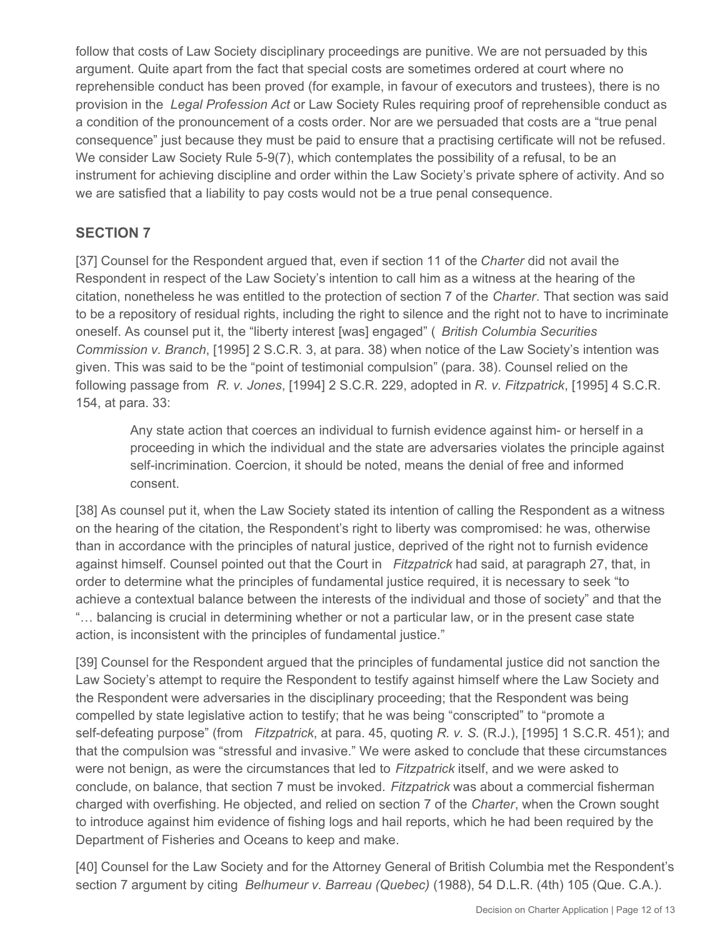follow that costs of Law Society disciplinary proceedings are punitive. We are not persuaded by this argument. Quite apart from the fact that special costs are sometimes ordered at court where no reprehensible conduct has been proved (for example, in favour of executors and trustees), there is no provision in the *Legal Profession Act* or Law Society Rules requiring proof of reprehensible conduct as a condition of the pronouncement of a costs order. Nor are we persuaded that costs are a "true penal consequence" just because they must be paid to ensure that a practising certificate will not be refused. We consider Law Society Rule 5-9(7), which contemplates the possibility of a refusal, to be an instrument for achieving discipline and order within the Law Society's private sphere of activity. And so we are satisfied that a liability to pay costs would not be a true penal consequence.

## **SECTION 7**

[37] Counsel for the Respondent argued that, even if section 11 of the *Charter* did not avail the Respondent in respect of the Law Society's intention to call him as a witness at the hearing of the citation, nonetheless he was entitled to the protection of section 7 of the *Charter*. That section was said to be a repository of residual rights, including the right to silence and the right not to have to incriminate oneself. As counsel put it, the "liberty interest [was] engaged" ( *British Columbia Securities Commission v. Branch*, [1995] 2 S.C.R. 3, at para. 38) when notice of the Law Society's intention was given. This was said to be the "point of testimonial compulsion" (para. 38). Counsel relied on the following passage from *R. v. Jones*, [1994] 2 S.C.R. 229, adopted in *R. v. Fitzpatrick*, [1995] 4 S.C.R. 154, at para. 33:

Any state action that coerces an individual to furnish evidence against him- or herself in a proceeding in which the individual and the state are adversaries violates the principle against self-incrimination. Coercion, it should be noted, means the denial of free and informed consent.

[38] As counsel put it, when the Law Society stated its intention of calling the Respondent as a witness on the hearing of the citation, the Respondent's right to liberty was compromised: he was, otherwise than in accordance with the principles of natural justice, deprived of the right not to furnish evidence against himself. Counsel pointed out that the Court in *Fitzpatrick* had said, at paragraph 27, that, in order to determine what the principles of fundamental justice required, it is necessary to seek "to achieve a contextual balance between the interests of the individual and those of society" and that the "… balancing is crucial in determining whether or not a particular law, or in the present case state action, is inconsistent with the principles of fundamental justice."

[39] Counsel for the Respondent argued that the principles of fundamental justice did not sanction the Law Society's attempt to require the Respondent to testify against himself where the Law Society and the Respondent were adversaries in the disciplinary proceeding; that the Respondent was being compelled by state legislative action to testify; that he was being "conscripted" to "promote a self-defeating purpose" (from *Fitzpatrick*, at para. 45, quoting *R. v. S.* (R.J.), [1995] 1 S.C.R. 451); and that the compulsion was "stressful and invasive." We were asked to conclude that these circumstances were not benign, as were the circumstances that led to *Fitzpatrick* itself, and we were asked to conclude, on balance, that section 7 must be invoked. *Fitzpatrick* was about a commercial fisherman charged with overfishing. He objected, and relied on section 7 of the *Charter*, when the Crown sought to introduce against him evidence of fishing logs and hail reports, which he had been required by the Department of Fisheries and Oceans to keep and make.

[40] Counsel for the Law Society and for the Attorney General of British Columbia met the Respondent's section 7 argument by citing *Belhumeur v. Barreau (Quebec)* (1988), 54 D.L.R. (4th) 105 (Que. C.A.).